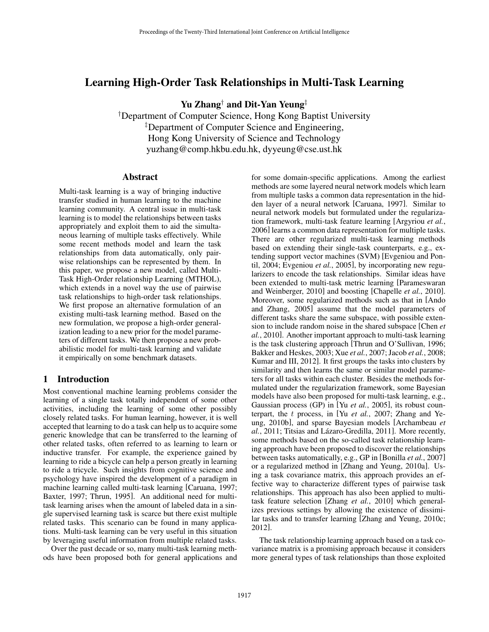# Learning High-Order Task Relationships in Multi-Task Learning

Yu Zhang† and Dit-Yan Yeung‡

† Department of Computer Science, Hong Kong Baptist University ‡ Department of Computer Science and Engineering, Hong Kong University of Science and Technology yuzhang@comp.hkbu.edu.hk, dyyeung@cse.ust.hk

# Abstract

Multi-task learning is a way of bringing inductive transfer studied in human learning to the machine learning community. A central issue in multi-task learning is to model the relationships between tasks appropriately and exploit them to aid the simultaneous learning of multiple tasks effectively. While some recent methods model and learn the task relationships from data automatically, only pairwise relationships can be represented by them. In this paper, we propose a new model, called Multi-Task High-Order relationship Learning (MTHOL), which extends in a novel way the use of pairwise task relationships to high-order task relationships. We first propose an alternative formulation of an existing multi-task learning method. Based on the new formulation, we propose a high-order generalization leading to a new prior for the model parameters of different tasks. We then propose a new probabilistic model for multi-task learning and validate it empirically on some benchmark datasets.

# 1 Introduction

Most conventional machine learning problems consider the learning of a single task totally independent of some other activities, including the learning of some other possibly closely related tasks. For human learning, however, it is well accepted that learning to do a task can help us to acquire some generic knowledge that can be transferred to the learning of other related tasks, often referred to as learning to learn or inductive transfer. For example, the experience gained by learning to ride a bicycle can help a person greatly in learning to ride a tricycle. Such insights from cognitive science and psychology have inspired the development of a paradigm in machine learning called multi-task learning [Caruana, 1997; Baxter, 1997; Thrun, 1995]. An additional need for multitask learning arises when the amount of labeled data in a single supervised learning task is scarce but there exist multiple related tasks. This scenario can be found in many applications. Multi-task learning can be very useful in this situation by leveraging useful information from multiple related tasks.

Over the past decade or so, many multi-task learning methods have been proposed both for general applications and for some domain-specific applications. Among the earliest methods are some layered neural network models which learn from multiple tasks a common data representation in the hidden layer of a neural network [Caruana, 1997]. Similar to neural network models but formulated under the regularization framework, multi-task feature learning [Argyriou *et al.*, 2006] learns a common data representation for multiple tasks. There are other regularized multi-task learning methods based on extending their single-task counterparts, e.g., extending support vector machines (SVM) [Evgeniou and Pontil, 2004; Evgeniou *et al.*, 2005], by incorporating new regularizers to encode the task relationships. Similar ideas have been extended to multi-task metric learning [Parameswaran and Weinberger, 2010] and boosting [Chapelle *et al.*, 2010]. Moreover, some regularized methods such as that in [Ando and Zhang, 2005] assume that the model parameters of different tasks share the same subspace, with possible extension to include random noise in the shared subspace [Chen *et al.*, 2010]. Another important approach to multi-task learning is the task clustering approach [Thrun and O'Sullivan, 1996; Bakker and Heskes, 2003; Xue *et al.*, 2007; Jacob *et al.*, 2008; Kumar and III, 2012]. It first groups the tasks into clusters by similarity and then learns the same or similar model parameters for all tasks within each cluster. Besides the methods formulated under the regularization framework, some Bayesian models have also been proposed for multi-task learning, e.g., Gaussian process (GP) in [Yu *et al.*, 2005], its robust counterpart, the t process, in [Yu *et al.*, 2007; Zhang and Yeung, 2010b], and sparse Bayesian models [Archambeau *et al.*, 2011; Titsias and Lázaro-Gredilla, 2011]. More recently, some methods based on the so-called task relationship learning approach have been proposed to discover the relationships between tasks automatically, e.g., GP in [Bonilla *et al.*, 2007] or a regularized method in [Zhang and Yeung, 2010a]. Using a task covariance matrix, this approach provides an effective way to characterize different types of pairwise task relationships. This approach has also been applied to multitask feature selection [Zhang *et al.*, 2010] which generalizes previous settings by allowing the existence of dissimilar tasks and to transfer learning [Zhang and Yeung, 2010c; 2012].

The task relationship learning approach based on a task covariance matrix is a promising approach because it considers more general types of task relationships than those exploited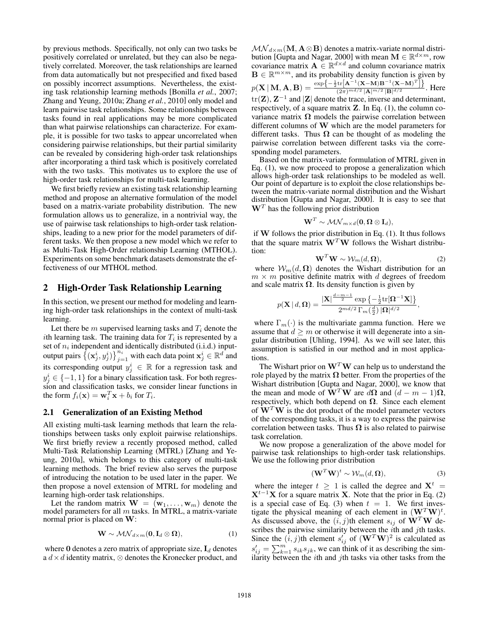by previous methods. Specifically, not only can two tasks be positively correlated or unrelated, but they can also be negatively correlated. Moreover, the task relationships are learned from data automatically but not prespecified and fixed based on possibly incorrect assumptions. Nevertheless, the existing task relationship learning methods [Bonilla *et al.*, 2007; Zhang and Yeung, 2010a; Zhang *et al.*, 2010] only model and learn pairwise task relationships. Some relationships between tasks found in real applications may be more complicated than what pairwise relationships can characterize. For example, it is possible for two tasks to appear uncorrelated when considering pairwise relationships, but their partial similarity can be revealed by considering high-order task relationships after incorporating a third task which is positively correlated with the two tasks. This motivates us to explore the use of high-order task relationships for multi-task learning.

We first briefly review an existing task relationship learning method and propose an alternative formulation of the model based on a matrix-variate probability distribution. The new formulation allows us to generalize, in a nontrivial way, the use of pairwise task relationships to high-order task relationships, leading to a new prior for the model parameters of different tasks. We then propose a new model which we refer to as Multi-Task High-Order relationship Learning (MTHOL). Experiments on some benchmark datasets demonstrate the effectiveness of our MTHOL method.

# 2 High-Order Task Relationship Learning

In this section, we present our method for modeling and learning high-order task relationships in the context of multi-task learning.

Let there be m supervised learning tasks and  $T_i$  denote the *i*th learning task. The training data for  $T_i$  is represented by a set of  $n_i$  independent and identically distributed (i.i.d.) inputoutput pairs  $\{(x^i_j, y^i_j)\}_{j=1}^{n_i}$  with each data point  $x^i_j \in \mathbb{R}^d$  and its corresponding output  $y_i^i \in \mathbb{R}$  for a regression task and  $y_i^i \in \{-1, 1\}$  for a binary classification task. For both regression and classification tasks, we consider linear functions in the form  $f_i(\mathbf{x}) = \mathbf{w}_i^T \mathbf{x} + b_i$  for  $T_i$ .

# 2.1 Generalization of an Existing Method

All existing multi-task learning methods that learn the relationships between tasks only exploit pairwise relationships. We first briefly review a recently proposed method, called Multi-Task Relationship Learning (MTRL) [Zhang and Yeung, 2010a], which belongs to this category of multi-task learning methods. The brief review also serves the purpose of introducing the notation to be used later in the paper. We then propose a novel extension of MTRL for modeling and learning high-order task relationships.

Let the random matrix  $\mathbf{W} = (\mathbf{w}_1, \dots, \mathbf{w}_m)$  denote the model parameters for all  $m$  tasks. In MTRL, a matrix-variate normal prior is placed on **W**:

$$
\mathbf{W} \sim \mathcal{MN}_{d \times m}(\mathbf{0}, \mathbf{I}_d \otimes \mathbf{\Omega}), \tag{1}
$$

where  $\mathbf{0}$  denotes a zero matrix of appropriate size,  $\mathbf{I}_d$  denotes a  $d \times d$  identity matrix,  $\otimes$  denotes the Kronecker product, and  $\mathcal{MN}_{d \times m}(\mathbf{M}, \mathbf{A} \otimes \mathbf{B})$  denotes a matrix-variate normal distribution [Gupta and Nagar, 2000] with mean  $\mathbf{M} \in \mathbb{R}^{d \times m}$ , row covariance matrix  $\mathbf{A} \in \mathbb{R}^{d \times d}$  and column covariance matrix  $\mathbf{B} \in \mathbb{R}^{m \times m}$ , and its probability density function is given by  $p(\mathbf{X} | \mathbf{M}, \mathbf{A}, \mathbf{B}) = \frac{\exp\left\{-\frac{1}{2} \text{tr}\left[\mathbf{A}^{-1}(\mathbf{X}-\mathbf{M})\mathbf{B}^{-1}(\mathbf{X}-\mathbf{M})^T\right]\right\}}{(2\pi)^{md/2}|\mathbf{A}|^{m/2}|\mathbf{B}|^{d/2}}.$  Here tr(**Z**), **Z**−<sup>1</sup> and |**Z**| denote the trace, inverse and determinant, respectively, of a square matrix **Z**. In Eq. (1), the column covariance matrix  $\Omega$  models the pairwise correlation between different columns of **W** which are the model parameters for different tasks. Thus  $\Omega$  can be thought of as modeling the pairwise correlation between different tasks via the corresponding model parameters.

Based on the matrix-variate formulation of MTRL given in Eq. (1), we now proceed to propose a generalization which allows high-order task relationships to be modeled as well. Our point of departure is to exploit the close relationships between the matrix-variate normal distribution and the Wishart distribution [Gupta and Nagar, 2000]. It is easy to see that  $W<sup>T</sup>$  has the following prior distribution

$$
\textbf{W}^T \sim \mathcal{MN}_{m \times d}(\textbf{0}, \boldsymbol{\Omega} \otimes \textbf{I}_d),
$$

if **W** follows the prior distribution in Eq. (1). It thus follows that the square matrix  $W<sup>T</sup>W$  follows the Wishart distribution:

$$
\mathbf{W}^T \mathbf{W} \sim \mathcal{W}_m(d, \mathbf{\Omega}), \tag{2}
$$

where  $W_m(d, \Omega)$  denotes the Wishart distribution for an  $m \times m$  positive definite matrix with d degrees of freedom and scale matrix  $\Omega$ . Its density function is given by

$$
p(\mathbf{X} | d, \mathbf{\Omega}) = \frac{|\mathbf{X}|^{\frac{d-m-1}{2}} \exp \left\{-\frac{1}{2} \text{tr}[\mathbf{\Omega}^{-1} \mathbf{X}]\right\}}{2^{md/2} \Gamma_m(\frac{d}{2}) |\mathbf{\Omega}|^{d/2}},
$$

where  $\Gamma_m(\cdot)$  is the multivariate gamma function. Here we assume that  $d \geq m$  or otherwise it will degenerate into a singular distribution [Uhling, 1994]. As we will see later, this assumption is satisfied in our method and in most applications.

The Wishart prior on  $W<sup>T</sup>W$  can help us to understand the role played by the matrix **Ω** better. From the properties of the Wishart distribution [Gupta and Nagar, 2000], we know that the mean and mode of  $\mathbf{\tilde{W}}^T\mathbf{W}$  are  $d\mathbf{\Omega}$  and  $(d - m - 1)\mathbf{\Omega}$ , respectively, which both depend on **Ω**. Since each element of  $W<sup>T</sup>W$  is the dot product of the model parameter vectors of the corresponding tasks, it is a way to express the pairwise correlation between tasks. Thus  $\Omega$  is also related to pairwise task correlation.

We now propose a generalization of the above model for pairwise task relationships to high-order task relationships. We use the following prior distribution

$$
\left(\mathbf{W}^T \mathbf{W}\right)^t \sim \mathcal{W}_m(d, \mathbf{\Omega}),\tag{3}
$$

where the integer  $t \geq 1$  is called the degree and  $X^t =$  $X^{t-1}X$  for a square matrix **X**. Note that the prior in Eq. (2) is a special case of Eq. (3) when  $t = 1$ . We first investigate the physical meaning of each element in  $(\mathbf{W}^T \mathbf{W})^t$ . As discussed above, the  $(i, j)$ th element  $s_{ij}$  of  $W<sup>T</sup>W$  describes the pairwise similarity between the  $i$ th and  $j$ th tasks. Since the  $(i, j)$ th element  $s'_{ij}$  of  $(\mathbf{W}^T \mathbf{W})^2$  is calculated as  $s'_{ij} = \sum_{k=1}^{m} s_{ik} s_{jk}$ , we can think of it as describing the similarity between the *i*th and *j*th tasks via other tasks from the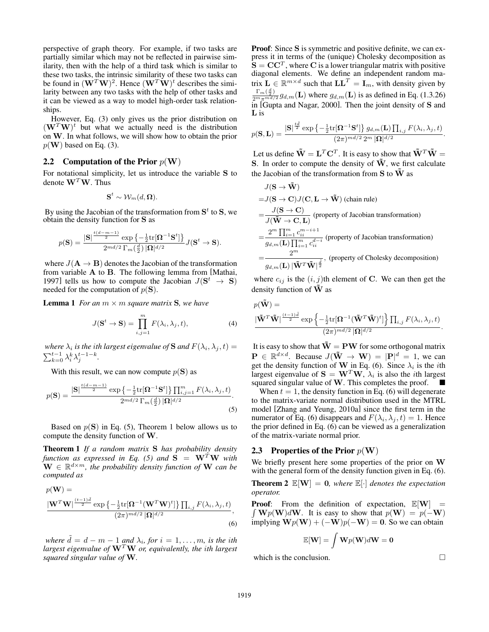perspective of graph theory. For example, if two tasks are partially similar which may not be reflected in pairwise similarity, then with the help of a third task which is similar to these two tasks, the intrinsic similarity of these two tasks can be found in  $(\mathbf{W}^T \mathbf{W})^2$ . Hence  $(\mathbf{W}^T \mathbf{W})^t$  describes the similarity between any two tasks with the help of other tasks and it can be viewed as a way to model high-order task relationships.

However, Eq. (3) only gives us the prior distribution on  $(\mathbf{W}^T\mathbf{W})^t$  but what we actually need is the distribution on **W**. In what follows, we will show how to obtain the prior  $p(\mathbf{W})$  based on Eq. (3).

# **2.2** Computation of the Prior  $p(\mathbf{W})$

For notational simplicity, let us introduce the variable **S** to denote  $W^T W$ . Thus

$$
\textbf{S}^t \sim \mathcal{W}_m(d,\boldsymbol{\Omega}).
$$

By using the Jacobian of the transformation from  $S<sup>t</sup>$  to  $S$ , we obtain the density function for **S** as

$$
p(\mathbf{S}) = \frac{|\mathbf{S}|^{\frac{t(d-m-1)}{2}}\exp\left\{-\frac{1}{2}\mathrm{tr}[\boldsymbol{\Omega}^{-1}\mathbf{S}^t]\right\}}{2^{md/2}\,\Gamma_m(\frac{d}{2})\,|\boldsymbol{\Omega}|^{d/2}}J(\mathbf{S}^t\to\mathbf{S}).
$$

where  $J(\mathbf{A} \to \mathbf{B})$  denotes the Jacobian of the transformation from variable **A** to **B**. The following lemma from [Mathai, 1997] tells us how to compute the Jacobian  $J(\mathbf{S}^t \rightarrow \mathbf{S})$ needed for the computation of  $p(S)$ .

**Lemma 1** *For an*  $m \times m$  *square matrix* **S***, we have* 

$$
J(\mathbf{S}^t \to \mathbf{S}) = \prod_{i,j=1}^m F(\lambda_i, \lambda_j, t), \tag{4}
$$

*where*  $\lambda_i$  *is the ith largest eigenvalue of* **S** *and*  $F(\lambda_i, \lambda_j, t) =$  $\sum_{k=0}^{t-1} \lambda_i^k \lambda_j^{t-1-k}$ .

With this result, we can now compute  $p(S)$  as

$$
p(\mathbf{S}) = \frac{|\mathbf{S}|^{\frac{t(d-m-1)}{2}} \exp\left\{-\frac{1}{2} \text{tr}[\mathbf{\Omega}^{-1} \mathbf{S}^t] \right\} \prod_{i,j=1}^m F(\lambda_i, \lambda_j, t)}{2^{md/2} \Gamma_m(\frac{d}{2}) |\mathbf{\Omega}|^{d/2}}.
$$
\n(5)

Based on  $p(S)$  in Eq. (5), Theorem 1 below allows us to compute the density function of **W**.

Theorem 1 *If a random matrix* **S** *has probability density function as expressed in Eq. (5) and*  $\mathbf{S} = \mathbf{W}^T \mathbf{W}$  *with*  $\mathbf{W} \in \mathbb{R}^{d \times m}$ , the probability density function of **W** can be *computed as*

$$
p(\mathbf{W}) = \frac{|\mathbf{W}^T \mathbf{W}|^{\frac{(t-1)\tilde{d}}{2}} \exp\left\{-\frac{1}{2} \text{tr}[\mathbf{\Omega}^{-1} (\mathbf{W}^T \mathbf{W})^t] \right\} \prod_{i,j} F(\lambda_i, \lambda_j, t)}{(2\pi)^{md/2} |\mathbf{\Omega}|^{d/2}},
$$
\n(6)

*where*  $\tilde{d} = d - m - 1$  *and*  $\lambda_i$ *, for*  $i = 1, \ldots, m$ *, is the ith largest eigenvalue of*  $W<sup>T</sup>W$  *or, equivalently, the ith largest squared singular value of* **W***.*

Proof: Since **S** is symmetric and positive definite, we can express it in terms of the (unique) Cholesky decomposition as  $S = CC<sup>T</sup>$ , where C is a lower triangular matrix with positive diagonal elements. We define an independent random matrix  $\mathbf{L} \in \mathbb{R}^{m \times d}$  such that  $\mathbf{L}\mathbf{L}^T = \mathbf{I}_m$ , with density given by  $\frac{\Gamma_m(\frac{d}{2})}{2^m \pi^{m d/2}} g_{d,m}(\mathbf{L})$  where  $g_{d,m}(\mathbf{L})$  is as defined in Eq. (1.3.26) in [Gupta and Nagar, 2000]. Then the joint density of **S** and **L** is

$$
p(\mathbf{S}, \mathbf{L}) = \frac{|\mathbf{S}|^{\frac{t\bar{d}}{2}} \exp \left\{-\frac{1}{2} \text{tr}[\mathbf{\Omega}^{-1} \mathbf{S}^t] \right\} g_{d,m}(\mathbf{L}) \prod_{i,j} F(\lambda_i, \lambda_j, t)}{(2\pi)^{md/2} 2^m |\mathbf{\Omega}|^{d/2}}.
$$

Let us define  $\tilde{\mathbf{W}} = \mathbf{L}^T \mathbf{C}^T$ . It is easy to show that  $\tilde{\mathbf{W}}^T \tilde{\mathbf{W}} =$ **S**. In order to compute the density of  $\tilde{W}$ , we first calculate the Jacobian of the transformation from  $S$  to  $\tilde{W}$  as

$$
J(\mathbf{S} \to \tilde{\mathbf{W}})
$$
  
=  $J(\mathbf{S} \to \mathbf{C})J(\mathbf{C}, \mathbf{L} \to \tilde{\mathbf{W}})$  (chain rule)  
=  $\frac{J(\mathbf{S} \to \mathbf{C})}{J(\tilde{\mathbf{W}} \to \mathbf{C}, \mathbf{L})}$  (property of Jacobian transformation)  
=  $\frac{2^m \prod_{i=1}^m c_{ii}^{m-i+1}}{g_{d,m}(\mathbf{L}) \prod_{i=1}^m c_{ii}^{d-i}}$  (property of Jacobian transformation)  
=  $\frac{2^m}{g_{d,m}(\mathbf{L}) |\tilde{\mathbf{W}}^T \tilde{\mathbf{W}}|^{\frac{d}{2}}}$ , (property of Cholesky decomposition)

where  $c_{ij}$  is the  $(i, j)$ th element of **C**. We can then get the density function of  $\tilde{\bf{W}}$  as

$$
p(\tilde{\mathbf{W}}) = \frac{|\tilde{\mathbf{W}}^T \tilde{\mathbf{W}}|^{\frac{(t-1)d}{2}} \exp \left\{-\frac{1}{2} \text{tr}[\mathbf{\Omega}^{-1} (\tilde{\mathbf{W}}^T \tilde{\mathbf{W}})^t] \right\} \prod_{i,j} F(\lambda_i, \lambda_j, t)}{(2\pi)^{md/2} |\mathbf{\Omega}|^{d/2}}.
$$

It is easy to show that  $\tilde{\mathbf{W}} = \mathbf{P}\mathbf{W}$  for some orthogonal matrix  $P \in \mathbb{R}^{d \times d}$ . Because  $J(\tilde{W} \to W) = |P|^d = 1$ , we can get the density function of **W** in Eq. (6). Since  $\lambda_i$  is the *i*th largest eigenvalue of  $S = W^T W$ ,  $\lambda_i$  is also the *i*th largest squared singular value of **W**. This completes the proof. -

When  $t = 1$ , the density function in Eq. (6) will degenerate to the matrix-variate normal distribution used in the MTRL model [Zhang and Yeung, 2010a] since the first term in the numerator of Eq. (6) disappears and  $F(\lambda_i, \lambda_j, t)=1$ . Hence the prior defined in Eq. (6) can be viewed as a generalization of the matrix-variate normal prior.

#### **2.3** Properties of the Prior  $p(\mathbf{W})$

We briefly present here some properties of the prior on **W** with the general form of the density function given in Eq. (6).

**Theorem 2**  $\mathbb{E}[W] = 0$ *, where*  $\mathbb{E}[\cdot]$  *denotes the expectation operator.*

**Proof:** From the definition of expectation,  $\mathbb{E}[W] =$  $\int \mathbf{W}p(\mathbf{W})d\mathbf{W}$ . It is easy to show that  $p(\mathbf{W}) = p(-\mathbf{W})$  $\lim_{x \to b} W_p(W) + (-W)p(-W) = 0$ . So we can obtain

$$
\mathbb{E}[\mathbf{W}]=\int \mathbf{W}p(\mathbf{W})d\mathbf{W}=\mathbf{0}
$$

which is the conclusion.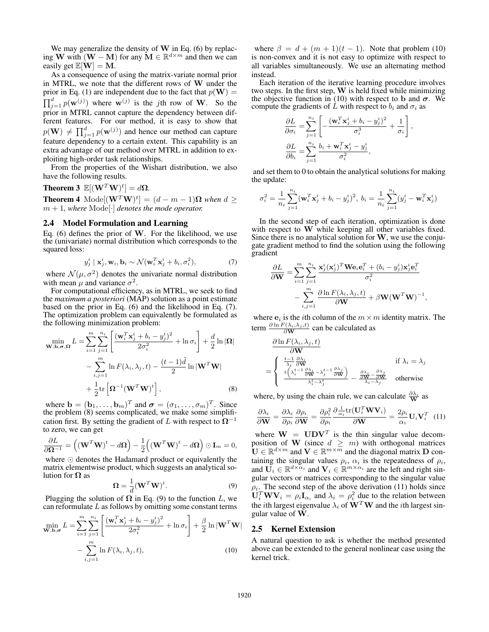We may generalize the density of **W** in Eq. (6) by replacing **W** with  $(W - M)$  for any  $M ∈ ℝ<sup>d×m</sup>$  and then we can easily get  $\mathbb{E}[\mathbf{W}] = \mathbf{M}$ .

As a consequence of using the matrix-variate normal prior in MTRL, we note that the different rows of **W** under the prior in Eq. (1) are independent due to the fact that  $p(\mathbf{W}) =$  $\prod_{j=1}^{d} p(\mathbf{w}^{(j)})$  where  $\mathbf{w}^{(j)}$  is the *j*th row of **W**. So the prior in MTRL cannot capture the dependency between different features. For our method, it is easy to show that  $p(\mathbf{W}) \neq \prod_{j=1}^{d} p(\mathbf{w}^{(j)})$  and hence our method can capture feature dependency to a certain extent. This capability is an extra advantage of our method over MTRL in addition to exploiting high-order task relationships.

From the properties of the Wishart distribution, we also have the following results.

**Theorem 3**  $\mathbb{E}[(\mathbf{W}^T\mathbf{W})^t] = d\Omega$ .

**Theorem 4** Mode $[(\mathbf{W}^T \mathbf{W})^t] = (d - m - 1)\mathbf{\Omega}$  *when*  $d \ge$  $m + 1$ , where Mode<sup>[.]</sup> denotes the mode operator.

# 2.4 Model Formulation and Learning

Eq. (6) defines the prior of **W**. For the likelihood, we use the (univariate) normal distribution which corresponds to the squared loss:

$$
y_j^i \mid \mathbf{x}_j^i, \mathbf{w}_i, \mathbf{b}_i \sim \mathcal{N}(\mathbf{w}_i^T \mathbf{x}_j^i + b_i, \sigma_i^2), \tag{7}
$$

where  $\mathcal{N}(\mu, \sigma^2)$  denotes the univariate normal distribution with mean  $\mu$  and variance  $\sigma^2$ .<br>For computational efficiency, as in MTRL, we seek to find

the *maximum a posteriori* (MAP) solution as a point estimate based on the prior in Eq. (6) and the likelihood in Eq. (7). The optimization problem can equivalently be formulated as the following minimization problem:

$$
\min_{\mathbf{W},\mathbf{b},\sigma,\Omega} L = \sum_{i=1}^{m} \sum_{j=1}^{n_i} \left[ \frac{(\mathbf{w}_i^T \mathbf{x}_j^i + b_i - y_j^i)^2}{2\sigma_i^2} + \ln \sigma_i \right] + \frac{d}{2} \ln |\Omega|
$$
  
- 
$$
\sum_{i,j=1}^{m} \ln F(\lambda_i, \lambda_j, t) - \frac{(t-1)\tilde{d}}{2} \ln |\mathbf{W}^T \mathbf{W}|
$$
  
+ 
$$
\frac{1}{2} \text{tr} \left[ \mathbf{\Omega}^{-1} (\mathbf{W}^T \mathbf{W})^t \right],
$$
 (8)

where  $\mathbf{b} = (\mathbf{b}_1, \dots, \mathbf{b}_m)^T$  and  $\boldsymbol{\sigma} = (\sigma_1, \dots, \sigma_m)^T$ . Since the problem (8) seems complicated, we make some simplification first. By setting the gradient of L with respect to  $\Omega^{-1}$ to zero, we can get

$$
\frac{\partial L}{\partial \mathbf{\Omega}^{-1}} = \left( (\mathbf{W}^T \mathbf{W})^t - d\mathbf{\Omega} \right) - \frac{1}{2} \left( (\mathbf{W}^T \mathbf{W})^t - d\mathbf{\Omega} \right) \odot \mathbf{I}_m = 0,
$$

where  $\odot$  denotes the Hadamard product or equivalently the matrix elementwise product, which suggests an analytical solution for **Ω** as

$$
\Omega = \frac{1}{d} (\mathbf{W}^T \mathbf{W})^t.
$$
 (9)

Plugging the solution of  $\Omega$  in Eq. (9) to the function L, we can reformulate  $L$  as follows by omitting some constant terms

$$
\min_{\mathbf{W},\mathbf{b},\sigma} L = \sum_{i=1}^{m} \sum_{j=1}^{n_i} \left[ \frac{(\mathbf{w}_i^T \mathbf{x}_j^i + b_i - y_j^i)^2}{2\sigma_i^2} + \ln \sigma_i \right] + \frac{\beta}{2} \ln |\mathbf{W}^T \mathbf{W}|
$$

$$
- \sum_{i,j=1}^{m} \ln F(\lambda_i, \lambda_j, t), \qquad (10)
$$

where  $\beta = d + (m + 1)(t - 1)$ . Note that problem (10) is non-convex and it is not easy to optimize with respect to all variables simultaneously. We use an alternating method instead.

Each iteration of the iterative learning procedure involves two steps. In the first step, **W** is held fixed while minimizing the objective function in (10) with respect to **b** and  $\sigma$ . We compute the gradients of L with respect to  $b_i$  and  $\sigma_i$  as

$$
\begin{split} &\frac{\partial L}{\partial \sigma_i} = \sum_{j=1}^{n_i} \left[ -\frac{(\mathbf{w}_i^T \mathbf{x}_j^i + b_i - y_j^i)^2}{\sigma_i^3} + \frac{1}{\sigma_i} \right], \\ &\frac{\partial L}{\partial b_i} = \sum_{j=1}^{n_i} \frac{b_i + \mathbf{w}_i^T \mathbf{x}_j^i - y_j^i}{\sigma_i^2}, \end{split}
$$

and set them to 0 to obtain the analytical solutions for making the update:

$$
\sigma_i^2 = \frac{1}{n_i} \sum_{j=1}^{n_i} (\mathbf{w}_i^T \mathbf{x}_j^i + b_i - y_j^i)^2, \ b_i = \frac{1}{n_i} \sum_{j=1}^{n_i} (y_j^i - \mathbf{w}_i^T \mathbf{x}_j^i)
$$

In the second step of each iteration, optimization is done with respect to **W** while keeping all other variables fixed. Since there is no analytical solution for **W**, we use the conjugate gradient method to find the solution using the following gradient

$$
\begin{split} \frac{\partial L}{\partial \mathbf{W}} &= \sum_{i=1}^{m} \sum_{j=1}^{n_i} \frac{\mathbf{x}_j^i(\mathbf{x}_j^i)^T \mathbf{W} \mathbf{e}_i \mathbf{e}_i^T + (b_i - y_j^i) \mathbf{x}_j^i \mathbf{e}_i^T}{\sigma_i^2} \\ &- \sum_{i,j=1}^{m} \frac{\partial \ln F(\lambda_i, \lambda_j, t)}{\partial \mathbf{W}} + \beta \mathbf{W} (\mathbf{W}^T \mathbf{W})^{-1}, \end{split}
$$

where  $\mathbf{e}_i$  is the *i*th column of the  $m \times m$  identity matrix. The term  $\frac{\partial \ln F(\lambda_i, \lambda_j, t)}{\partial \mathbf{W}}$  can be calculated as

$$
\frac{\partial \ln F(\lambda_i, \lambda_j, t)}{\partial \mathbf{W}} = \begin{cases} \frac{t-1}{\lambda_i} \frac{\partial \lambda_i}{\partial \mathbf{W}} & \text{if } \lambda_i = \lambda_j\\ \frac{t(\lambda_i^{t-1} \frac{\partial \lambda_i}{\partial \mathbf{W}} - \lambda_j^{t-1} \frac{\partial \lambda_j}{\partial \mathbf{W}})}{\lambda_i^t - \lambda_j^t} - \frac{\frac{\partial \lambda_i}{\partial \mathbf{W}} - \frac{\partial \lambda_j}{\partial \mathbf{W}}}{\lambda_i - \lambda_j} & \text{otherwise} \end{cases}
$$

where, by using the chain rule, we can calculate  $\frac{\partial \lambda_i}{\mathbf{W}}$  as

$$
\frac{\partial \lambda_i}{\partial \mathbf{W}} = \frac{\partial \lambda_i}{\partial \rho_i} \frac{\partial \rho_i}{\partial \mathbf{W}} = \frac{\partial \rho_i^2}{\partial \rho_i} \frac{\partial \frac{1}{\alpha_i} tr(\mathbf{U}_i^T \mathbf{W} \mathbf{V}_i)}{\partial \mathbf{W}} = \frac{2\rho_i}{\alpha_i} \mathbf{U}_i \mathbf{V}_i^T
$$
(11)

where  $W = UDV^T$  is the thin singular value decomposition of **W** (since  $d \geq m$ ) with orthogonal matrices  $\mathbf{U} \in \mathbb{R}^{d \times m}$  and  $\mathbf{V} \in \mathbb{R}^{m \times \overline{m}}$  and the diagonal matrix **D** containing the singular values  $\rho_i$ ,  $\alpha_i$  is the repeatedness of  $\rho_i$ , and  $\mathbf{U}_i \in \mathbb{R}^{d \times \alpha_i}$  and  $\mathbf{V}_i \in \mathbb{R}^{m \times \alpha_i}$  are the left and right singular vectors or matrices corresponding to the singular value  $\rho_i$ . The second step of the above derivation (11) holds since  $\mathbf{U}_i^T \mathbf{W} \mathbf{V}_i = \rho_i \mathbf{I}_{\alpha_i}$  and  $\lambda_i = \rho_i^2$  due to the relation between the *i*th largest eigenvalue  $\lambda_i$  of  $W^T W$  and the *i*th largest singular value of **W**.

#### 2.5 Kernel Extension

A natural question to ask is whether the method presented above can be extended to the general nonlinear case using the kernel trick.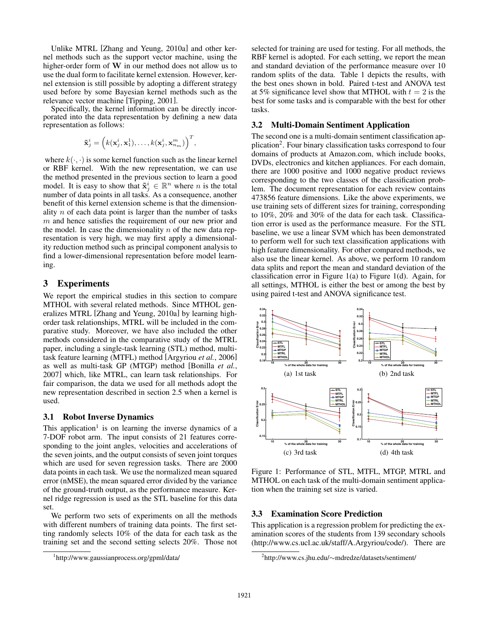Unlike MTRL [Zhang and Yeung, 2010a] and other kernel methods such as the support vector machine, using the higher-order form of **W** in our method does not allow us to use the dual form to facilitate kernel extension. However, kernel extension is still possible by adopting a different strategy used before by some Bayesian kernel methods such as the relevance vector machine [Tipping, 2001].

Specifically, the kernel information can be directly incorporated into the data representation by defining a new data representation as follows:

$$
\tilde{\mathbf{x}}_j^i = \left(k(\mathbf{x}_j^i, \mathbf{x}_1^1), \dots, k(\mathbf{x}_j^i, \mathbf{x}_{n_m}^m)\right)^T,
$$

where  $k(\cdot, \cdot)$  is some kernel function such as the linear kernel or RBF kernel. With the new representation, we can use the method presented in the previous section to learn a good model. It is easy to show that  $\tilde{\mathbf{x}}_i^i \in \mathbb{R}^n$  where *n* is the total number of data points in all tasks. As a consequence, another benefit of this kernel extension scheme is that the dimensionality  $n$  of each data point is larger than the number of tasks m and hence satisfies the requirement of our new prior and the model. In case the dimensionality  $n$  of the new data representation is very high, we may first apply a dimensionality reduction method such as principal component analysis to find a lower-dimensional representation before model learning.

# 3 Experiments

We report the empirical studies in this section to compare MTHOL with several related methods. Since MTHOL generalizes MTRL [Zhang and Yeung, 2010a] by learning highorder task relationships, MTRL will be included in the comparative study. Moreover, we have also included the other methods considered in the comparative study of the MTRL paper, including a single-task learning (STL) method, multitask feature learning (MTFL) method [Argyriou *et al.*, 2006] as well as multi-task GP (MTGP) method [Bonilla *et al.*, 2007] which, like MTRL, can learn task relationships. For fair comparison, the data we used for all methods adopt the new representation described in section 2.5 when a kernel is used.

# 3.1 Robot Inverse Dynamics

This application<sup>1</sup> is on learning the inverse dynamics of a 7-DOF robot arm. The input consists of 21 features corresponding to the joint angles, velocities and accelerations of the seven joints, and the output consists of seven joint torques which are used for seven regression tasks. There are 2000 data points in each task. We use the normalized mean squared error (nMSE), the mean squared error divided by the variance of the ground-truth output, as the performance measure. Kernel ridge regression is used as the STL baseline for this data set.

We perform two sets of experiments on all the methods with different numbers of training data points. The first setting randomly selects 10% of the data for each task as the training set and the second setting selects 20%. Those not selected for training are used for testing. For all methods, the RBF kernel is adopted. For each setting, we report the mean and standard deviation of the performance measure over 10 random splits of the data. Table 1 depicts the results, with the best ones shown in bold. Paired t-test and ANOVA test at 5% significance level show that MTHOL with  $t = 2$  is the best for some tasks and is comparable with the best for other tasks.

# 3.2 Multi-Domain Sentiment Application

The second one is a multi-domain sentiment classification application<sup>2</sup>. Four binary classification tasks correspond to four domains of products at Amazon.com, which include books, DVDs, electronics and kitchen appliances. For each domain, there are 1000 positive and 1000 negative product reviews corresponding to the two classes of the classification problem. The document representation for each review contains 473856 feature dimensions. Like the above experiments, we use training sets of different sizes for training, corresponding to 10%, 20% and 30% of the data for each task. Classification error is used as the performance measure. For the STL baseline, we use a linear SVM which has been demonstrated to perform well for such text classification applications with high feature dimensionality. For other compared methods, we also use the linear kernel. As above, we perform 10 random data splits and report the mean and standard deviation of the classification error in Figure 1(a) to Figure 1(d). Again, for all settings, MTHOL is either the best or among the best by using paired t-test and ANOVA significance test.



Figure 1: Performance of STL, MTFL, MTGP, MTRL and MTHOL on each task of the multi-domain sentiment application when the training set size is varied.

#### 3.3 Examination Score Prediction

This application is a regression problem for predicting the examination scores of the students from 139 secondary schools (http://www.cs.ucl.ac.uk/staff/A.Argyriou/code/). There are

<sup>1</sup> http://www.gaussianprocess.org/gpml/data/

<sup>2</sup> http://www.cs.jhu.edu/∼mdredze/datasets/sentiment/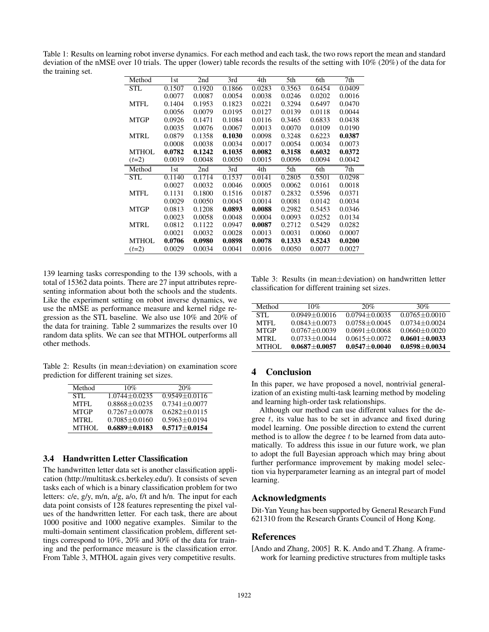Table 1: Results on learning robot inverse dynamics. For each method and each task, the two rows report the mean and standard deviation of the nMSE over 10 trials. The upper (lower) table records the results of the setting with 10% (20%) of the data for the training set.

| Method       | 1st    | 2nd    | 3rd    | 4th    | 5th    | 6th    | 7th    |
|--------------|--------|--------|--------|--------|--------|--------|--------|
| <b>STL</b>   | 0.1507 | 0.1920 | 0.1866 | 0.0283 | 0.3563 | 0.6454 | 0.0409 |
|              | 0.0077 | 0.0087 | 0.0054 | 0.0038 | 0.0246 | 0.0202 | 0.0016 |
| <b>MTFL</b>  | 0.1404 | 0.1953 | 0.1823 | 0.0221 | 0.3294 | 0.6497 | 0.0470 |
|              | 0.0056 | 0.0079 | 0.0195 | 0.0127 | 0.0139 | 0.0118 | 0.0044 |
| <b>MTGP</b>  | 0.0926 | 0.1471 | 0.1084 | 0.0116 | 0.3465 | 0.6833 | 0.0438 |
|              | 0.0035 | 0.0076 | 0.0067 | 0.0013 | 0.0070 | 0.0109 | 0.0190 |
| <b>MTRL</b>  | 0.0879 | 0.1358 | 0.1030 | 0.0098 | 0.3248 | 0.6223 | 0.0387 |
|              | 0.0008 | 0.0038 | 0.0034 | 0.0017 | 0.0054 | 0.0034 | 0.0073 |
| <b>MTHOL</b> | 0.0782 | 0.1242 | 0.1035 | 0.0082 | 0.3158 | 0.6032 | 0.0372 |
| $(t=2)$      | 0.0019 | 0.0048 | 0.0050 | 0.0015 | 0.0096 | 0.0094 | 0.0042 |
| Method       | 1st    | 2nd    | 3rd    | 4th    | 5th    | 6th    | 7th    |
| <b>STL</b>   | 0.1140 | 0.1714 | 0.1537 | 0.0141 | 0.2805 | 0.5501 | 0.0298 |
|              | 0.0027 | 0.0032 | 0.0046 | 0.0005 | 0.0062 | 0.0161 | 0.0018 |
| <b>MTFL</b>  | 0.1131 | 0.1800 | 0.1516 | 0.0187 | 0.2832 | 0.5596 | 0.0371 |
|              | 0.0029 | 0.0050 | 0.0045 | 0.0014 | 0.0081 | 0.0142 | 0.0034 |
| <b>MTGP</b>  | 0.0813 | 0.1208 | 0.0893 | 0.0088 | 0.2982 | 0.5453 | 0.0346 |
|              | 0.0023 | 0.0058 | 0.0048 | 0.0004 | 0.0093 | 0.0252 | 0.0134 |
| <b>MTRL</b>  | 0.0812 | 0.1122 | 0.0947 | 0.0087 | 0.2712 | 0.5429 | 0.0282 |
|              | 0.0021 | 0.0032 | 0.0028 | 0.0013 | 0.0031 | 0.0060 | 0.0007 |
| MTHOL        | 0.0706 | 0.0980 | 0.0898 | 0.0078 | 0.1333 | 0.5243 | 0.0200 |
| $(t=2)$      | 0.0029 | 0.0034 | 0.0041 | 0.0016 | 0.0050 | 0.0077 | 0.0027 |

139 learning tasks corresponding to the 139 schools, with a total of 15362 data points. There are 27 input attributes representing information about both the schools and the students. Like the experiment setting on robot inverse dynamics, we use the nMSE as performance measure and kernel ridge regression as the STL baseline. We also use 10% and 20% of the data for training. Table 2 summarizes the results over 10 random data splits. We can see that MTHOL outperforms all other methods.

Table 2: Results (in mean±deviation) on examination score prediction for different training set sizes.

| Method      | 10%               | 20%                 |
|-------------|-------------------|---------------------|
| STL.        | $1.0744 + 0.0235$ | $0.9549 \pm 0.0116$ |
| MTFL        | $0.8868 + 0.0235$ | $0.7341 + 0.0077$   |
| <b>MTGP</b> | $0.7267 + 0.0078$ | $0.6282 + 0.0115$   |
| <b>MTRL</b> | $0.7085 + 0.0160$ | $0.5963 + 0.0194$   |
| MTHOL       | $0.6889 + 0.0183$ | $0.5717 + 0.0154$   |

# 3.4 Handwritten Letter Classification

The handwritten letter data set is another classification application (http://multitask.cs.berkeley.edu/). It consists of seven tasks each of which is a binary classification problem for two letters: c/e, g/y, m/n, a/g, a/o, f/t and h/n. The input for each data point consists of 128 features representing the pixel values of the handwritten letter. For each task, there are about 1000 positive and 1000 negative examples. Similar to the multi-domain sentiment classification problem, different settings correspond to 10%, 20% and 30% of the data for training and the performance measure is the classification error. From Table 3, MTHOL again gives very competitive results.

Table 3: Results (in mean±deviation) on handwritten letter classification for different training set sizes.

| Method       | 10%               | 20%               | 30%               |
|--------------|-------------------|-------------------|-------------------|
| STL.         | $0.0949 + 0.0016$ | $0.0794 + 0.0035$ | $0.0765 + 0.0010$ |
| MTFL.        | $0.0843 + 0.0073$ | $0.0758 + 0.0045$ | $0.0734 + 0.0024$ |
| <b>MTGP</b>  | $0.0767 + 0.0039$ | $0.0691 + 0.0068$ | $0.0660 + 0.0020$ |
| MTRL.        | $0.0733 + 0.0044$ | $0.0615 + 0.0072$ | $0.0601 + 0.0033$ |
| <b>MTHOL</b> | $0.0687 + 0.0057$ | $0.0547 + 0.0040$ | $0.0598 + 0.0034$ |

# 4 Conclusion

In this paper, we have proposed a novel, nontrivial generalization of an existing multi-task learning method by modeling and learning high-order task relationships.

Although our method can use different values for the degree t, its value has to be set in advance and fixed during model learning. One possible direction to extend the current method is to allow the degree  $t$  to be learned from data automatically. To address this issue in our future work, we plan to adopt the full Bayesian approach which may bring about further performance improvement by making model selection via hyperparameter learning as an integral part of model learning.

# Acknowledgments

Dit-Yan Yeung has been supported by General Research Fund 621310 from the Research Grants Council of Hong Kong.

# References

[Ando and Zhang, 2005] R. K. Ando and T. Zhang. A framework for learning predictive structures from multiple tasks